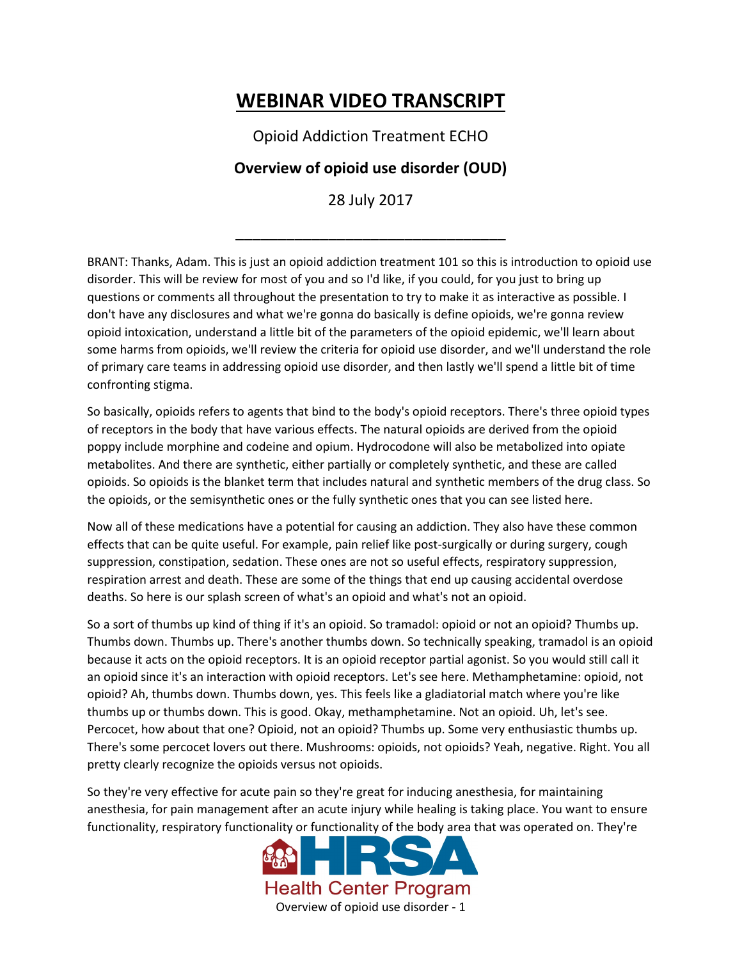## **WEBINAR VIDEO TRANSCRIPT**

Opioid Addiction Treatment ECHO

## **Overview of opioid use disorder (OUD)**

28 July 2017

\_\_\_\_\_\_\_\_\_\_\_\_\_\_\_\_\_\_\_\_\_\_\_\_\_\_\_\_\_\_\_\_

BRANT: Thanks, Adam. This is just an opioid addiction treatment 101 so this is introduction to opioid use disorder. This will be review for most of you and so I'd like, if you could, for you just to bring up questions or comments all throughout the presentation to try to make it as interactive as possible. I don't have any disclosures and what we're gonna do basically is define opioids, we're gonna review opioid intoxication, understand a little bit of the parameters of the opioid epidemic, we'll learn about some harms from opioids, we'll review the criteria for opioid use disorder, and we'll understand the role of primary care teams in addressing opioid use disorder, and then lastly we'll spend a little bit of time confronting stigma.

So basically, opioids refers to agents that bind to the body's opioid receptors. There's three opioid types of receptors in the body that have various effects. The natural opioids are derived from the opioid poppy include morphine and codeine and opium. Hydrocodone will also be metabolized into opiate metabolites. And there are synthetic, either partially or completely synthetic, and these are called opioids. So opioids is the blanket term that includes natural and synthetic members of the drug class. So the opioids, or the semisynthetic ones or the fully synthetic ones that you can see listed here.

Now all of these medications have a potential for causing an addiction. They also have these common effects that can be quite useful. For example, pain relief like post-surgically or during surgery, cough suppression, constipation, sedation. These ones are not so useful effects, respiratory suppression, respiration arrest and death. These are some of the things that end up causing accidental overdose deaths. So here is our splash screen of what's an opioid and what's not an opioid.

So a sort of thumbs up kind of thing if it's an opioid. So tramadol: opioid or not an opioid? Thumbs up. Thumbs down. Thumbs up. There's another thumbs down. So technically speaking, tramadol is an opioid because it acts on the opioid receptors. It is an opioid receptor partial agonist. So you would still call it an opioid since it's an interaction with opioid receptors. Let's see here. Methamphetamine: opioid, not opioid? Ah, thumbs down. Thumbs down, yes. This feels like a gladiatorial match where you're like thumbs up or thumbs down. This is good. Okay, methamphetamine. Not an opioid. Uh, let's see. Percocet, how about that one? Opioid, not an opioid? Thumbs up. Some very enthusiastic thumbs up. There's some percocet lovers out there. Mushrooms: opioids, not opioids? Yeah, negative. Right. You all pretty clearly recognize the opioids versus not opioids.

So they're very effective for acute pain so they're great for inducing anesthesia, for maintaining anesthesia, for pain management after an acute injury while healing is taking place. You want to ensure functionality, respiratory functionality or functionality of the body area that was operated on. They're

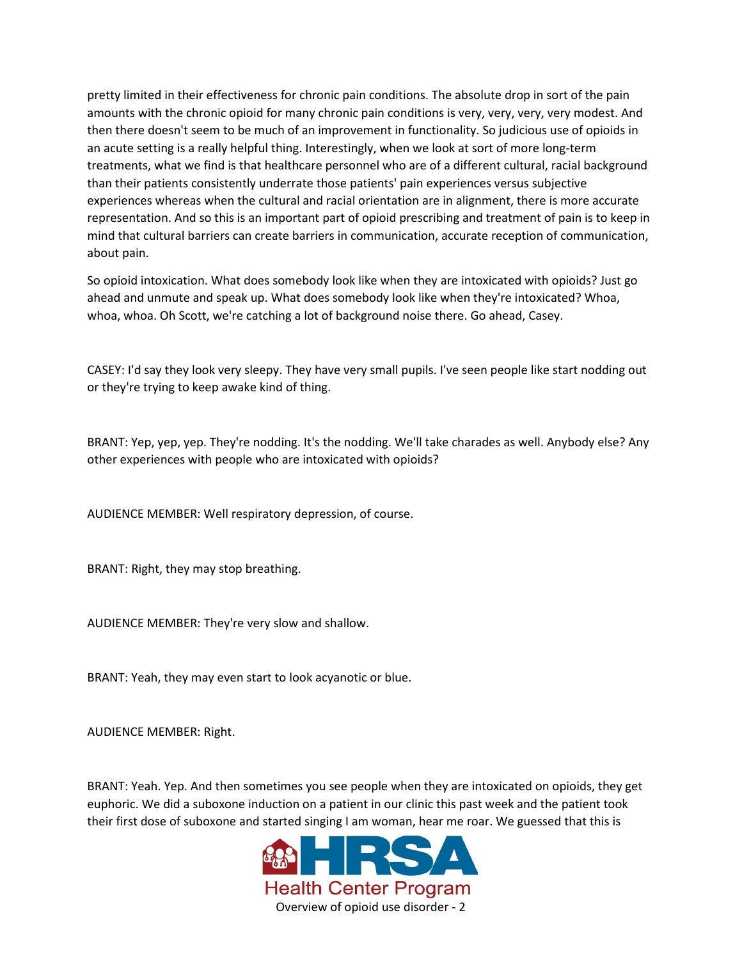pretty limited in their effectiveness for chronic pain conditions. The absolute drop in sort of the pain amounts with the chronic opioid for many chronic pain conditions is very, very, very, very modest. And then there doesn't seem to be much of an improvement in functionality. So judicious use of opioids in an acute setting is a really helpful thing. Interestingly, when we look at sort of more long-term treatments, what we find is that healthcare personnel who are of a different cultural, racial background than their patients consistently underrate those patients' pain experiences versus subjective experiences whereas when the cultural and racial orientation are in alignment, there is more accurate representation. And so this is an important part of opioid prescribing and treatment of pain is to keep in mind that cultural barriers can create barriers in communication, accurate reception of communication, about pain.

So opioid intoxication. What does somebody look like when they are intoxicated with opioids? Just go ahead and unmute and speak up. What does somebody look like when they're intoxicated? Whoa, whoa, whoa. Oh Scott, we're catching a lot of background noise there. Go ahead, Casey.

CASEY: I'd say they look very sleepy. They have very small pupils. I've seen people like start nodding out or they're trying to keep awake kind of thing.

BRANT: Yep, yep, yep. They're nodding. It's the nodding. We'll take charades as well. Anybody else? Any other experiences with people who are intoxicated with opioids?

AUDIENCE MEMBER: Well respiratory depression, of course.

BRANT: Right, they may stop breathing.

AUDIENCE MEMBER: They're very slow and shallow.

BRANT: Yeah, they may even start to look acyanotic or blue.

AUDIENCE MEMBER: Right.

BRANT: Yeah. Yep. And then sometimes you see people when they are intoxicated on opioids, they get euphoric. We did a suboxone induction on a patient in our clinic this past week and the patient took their first dose of suboxone and started singing I am woman, hear me roar. We guessed that this is

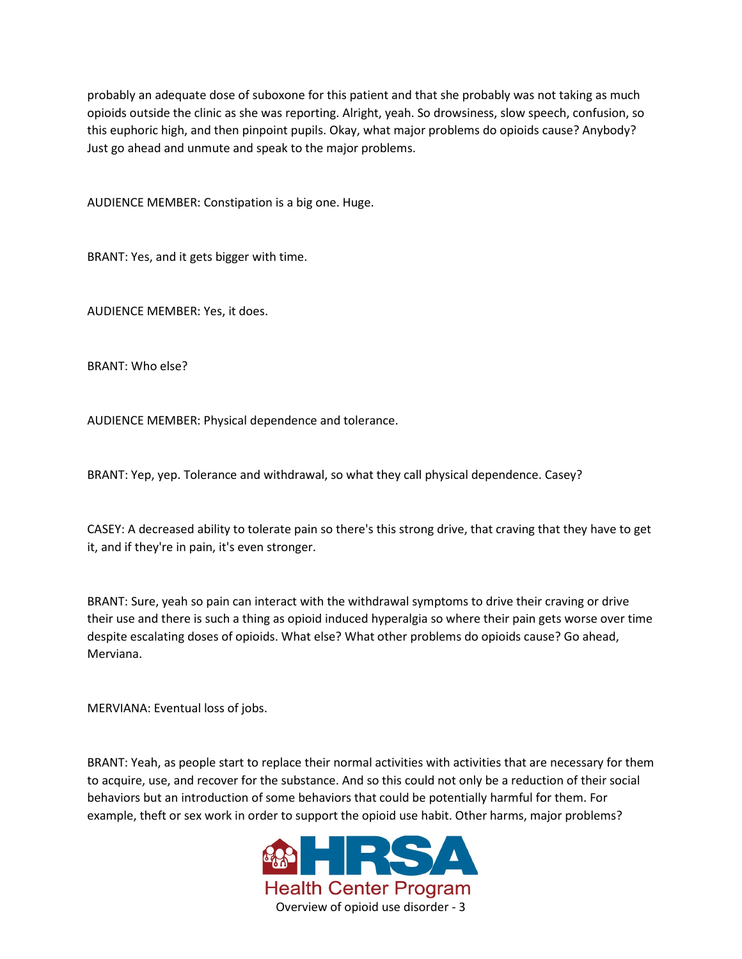probably an adequate dose of suboxone for this patient and that she probably was not taking as much opioids outside the clinic as she was reporting. Alright, yeah. So drowsiness, slow speech, confusion, so this euphoric high, and then pinpoint pupils. Okay, what major problems do opioids cause? Anybody? Just go ahead and unmute and speak to the major problems.

AUDIENCE MEMBER: Constipation is a big one. Huge.

BRANT: Yes, and it gets bigger with time.

AUDIENCE MEMBER: Yes, it does.

BRANT: Who else?

AUDIENCE MEMBER: Physical dependence and tolerance.

BRANT: Yep, yep. Tolerance and withdrawal, so what they call physical dependence. Casey?

CASEY: A decreased ability to tolerate pain so there's this strong drive, that craving that they have to get it, and if they're in pain, it's even stronger.

BRANT: Sure, yeah so pain can interact with the withdrawal symptoms to drive their craving or drive their use and there is such a thing as opioid induced hyperalgia so where their pain gets worse over time despite escalating doses of opioids. What else? What other problems do opioids cause? Go ahead, Merviana.

MERVIANA: Eventual loss of jobs.

BRANT: Yeah, as people start to replace their normal activities with activities that are necessary for them to acquire, use, and recover for the substance. And so this could not only be a reduction of their social behaviors but an introduction of some behaviors that could be potentially harmful for them. For example, theft or sex work in order to support the opioid use habit. Other harms, major problems?

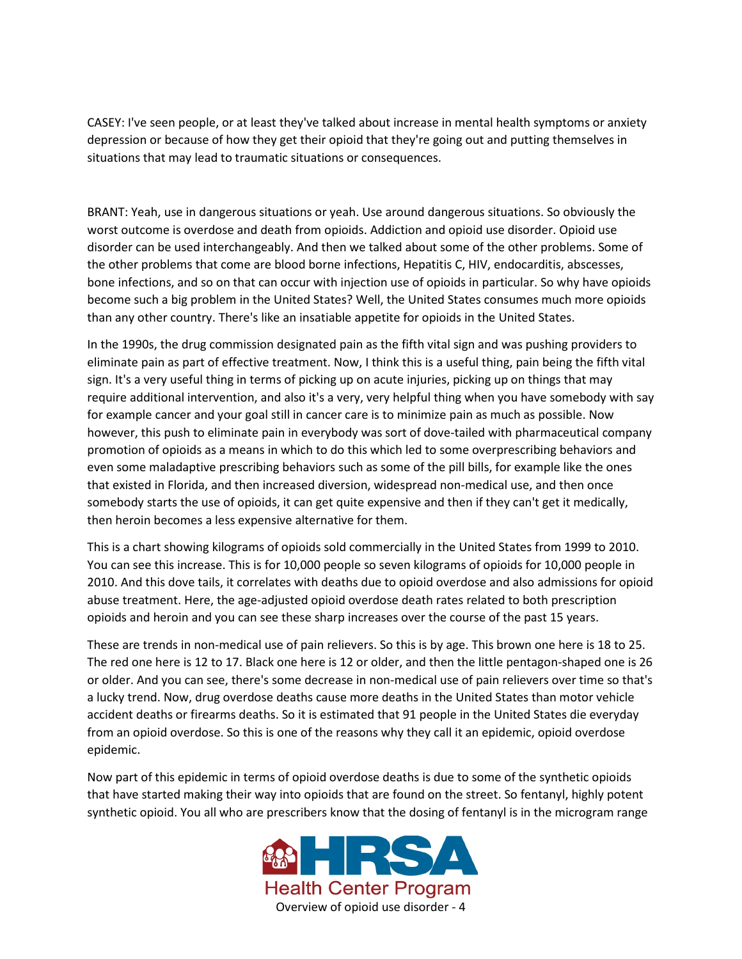CASEY: I've seen people, or at least they've talked about increase in mental health symptoms or anxiety depression or because of how they get their opioid that they're going out and putting themselves in situations that may lead to traumatic situations or consequences.

BRANT: Yeah, use in dangerous situations or yeah. Use around dangerous situations. So obviously the worst outcome is overdose and death from opioids. Addiction and opioid use disorder. Opioid use disorder can be used interchangeably. And then we talked about some of the other problems. Some of the other problems that come are blood borne infections, Hepatitis C, HIV, endocarditis, abscesses, bone infections, and so on that can occur with injection use of opioids in particular. So why have opioids become such a big problem in the United States? Well, the United States consumes much more opioids than any other country. There's like an insatiable appetite for opioids in the United States.

In the 1990s, the drug commission designated pain as the fifth vital sign and was pushing providers to eliminate pain as part of effective treatment. Now, I think this is a useful thing, pain being the fifth vital sign. It's a very useful thing in terms of picking up on acute injuries, picking up on things that may require additional intervention, and also it's a very, very helpful thing when you have somebody with say for example cancer and your goal still in cancer care is to minimize pain as much as possible. Now however, this push to eliminate pain in everybody was sort of dove-tailed with pharmaceutical company promotion of opioids as a means in which to do this which led to some overprescribing behaviors and even some maladaptive prescribing behaviors such as some of the pill bills, for example like the ones that existed in Florida, and then increased diversion, widespread non-medical use, and then once somebody starts the use of opioids, it can get quite expensive and then if they can't get it medically, then heroin becomes a less expensive alternative for them.

This is a chart showing kilograms of opioids sold commercially in the United States from 1999 to 2010. You can see this increase. This is for 10,000 people so seven kilograms of opioids for 10,000 people in 2010. And this dove tails, it correlates with deaths due to opioid overdose and also admissions for opioid abuse treatment. Here, the age-adjusted opioid overdose death rates related to both prescription opioids and heroin and you can see these sharp increases over the course of the past 15 years.

These are trends in non-medical use of pain relievers. So this is by age. This brown one here is 18 to 25. The red one here is 12 to 17. Black one here is 12 or older, and then the little pentagon-shaped one is 26 or older. And you can see, there's some decrease in non-medical use of pain relievers over time so that's a lucky trend. Now, drug overdose deaths cause more deaths in the United States than motor vehicle accident deaths or firearms deaths. So it is estimated that 91 people in the United States die everyday from an opioid overdose. So this is one of the reasons why they call it an epidemic, opioid overdose epidemic.

Now part of this epidemic in terms of opioid overdose deaths is due to some of the synthetic opioids that have started making their way into opioids that are found on the street. So fentanyl, highly potent synthetic opioid. You all who are prescribers know that the dosing of fentanyl is in the microgram range

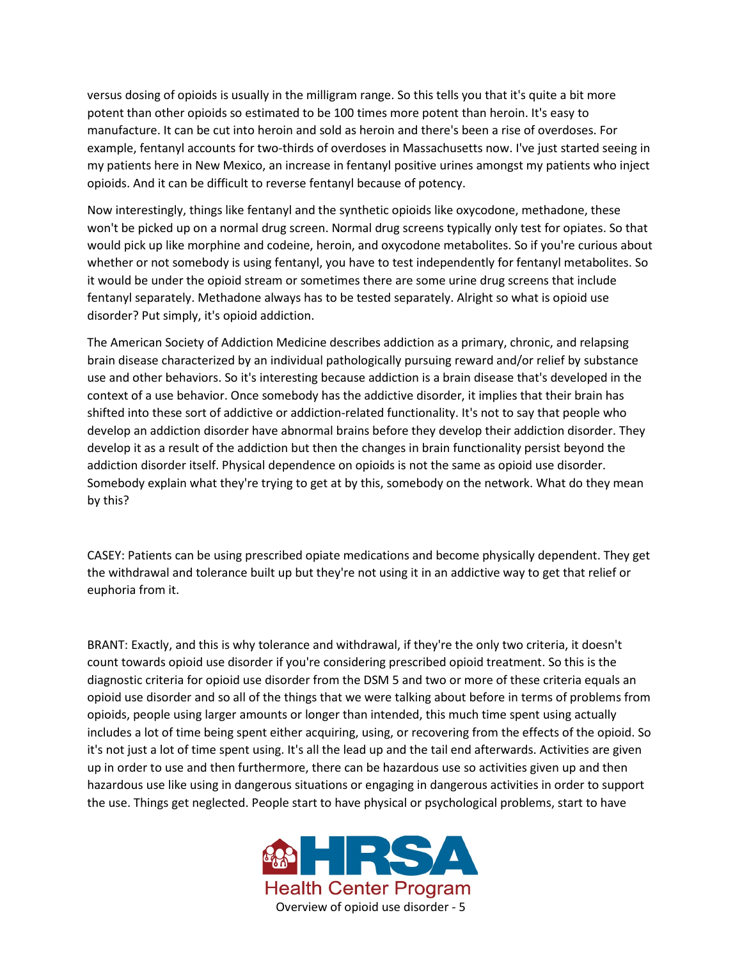versus dosing of opioids is usually in the milligram range. So this tells you that it's quite a bit more potent than other opioids so estimated to be 100 times more potent than heroin. It's easy to manufacture. It can be cut into heroin and sold as heroin and there's been a rise of overdoses. For example, fentanyl accounts for two-thirds of overdoses in Massachusetts now. I've just started seeing in my patients here in New Mexico, an increase in fentanyl positive urines amongst my patients who inject opioids. And it can be difficult to reverse fentanyl because of potency.

Now interestingly, things like fentanyl and the synthetic opioids like oxycodone, methadone, these won't be picked up on a normal drug screen. Normal drug screens typically only test for opiates. So that would pick up like morphine and codeine, heroin, and oxycodone metabolites. So if you're curious about whether or not somebody is using fentanyl, you have to test independently for fentanyl metabolites. So it would be under the opioid stream or sometimes there are some urine drug screens that include fentanyl separately. Methadone always has to be tested separately. Alright so what is opioid use disorder? Put simply, it's opioid addiction.

The American Society of Addiction Medicine describes addiction as a primary, chronic, and relapsing brain disease characterized by an individual pathologically pursuing reward and/or relief by substance use and other behaviors. So it's interesting because addiction is a brain disease that's developed in the context of a use behavior. Once somebody has the addictive disorder, it implies that their brain has shifted into these sort of addictive or addiction-related functionality. It's not to say that people who develop an addiction disorder have abnormal brains before they develop their addiction disorder. They develop it as a result of the addiction but then the changes in brain functionality persist beyond the addiction disorder itself. Physical dependence on opioids is not the same as opioid use disorder. Somebody explain what they're trying to get at by this, somebody on the network. What do they mean by this?

CASEY: Patients can be using prescribed opiate medications and become physically dependent. They get the withdrawal and tolerance built up but they're not using it in an addictive way to get that relief or euphoria from it.

BRANT: Exactly, and this is why tolerance and withdrawal, if they're the only two criteria, it doesn't count towards opioid use disorder if you're considering prescribed opioid treatment. So this is the diagnostic criteria for opioid use disorder from the DSM 5 and two or more of these criteria equals an opioid use disorder and so all of the things that we were talking about before in terms of problems from opioids, people using larger amounts or longer than intended, this much time spent using actually includes a lot of time being spent either acquiring, using, or recovering from the effects of the opioid. So it's not just a lot of time spent using. It's all the lead up and the tail end afterwards. Activities are given up in order to use and then furthermore, there can be hazardous use so activities given up and then hazardous use like using in dangerous situations or engaging in dangerous activities in order to support the use. Things get neglected. People start to have physical or psychological problems, start to have

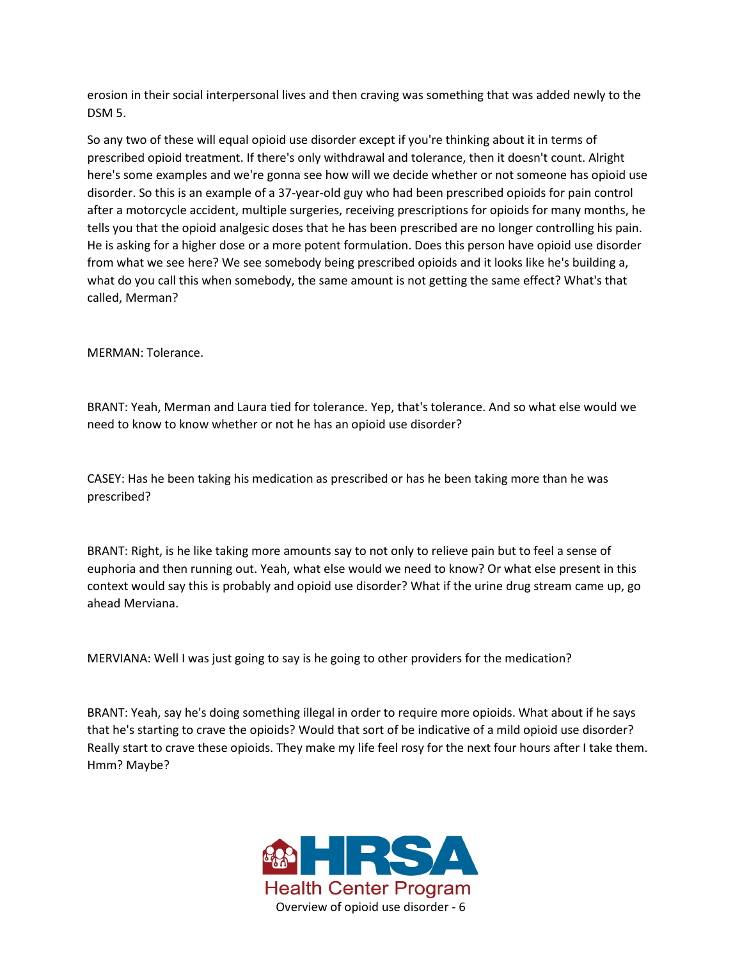erosion in their social interpersonal lives and then craving was something that was added newly to the DSM 5.

So any two of these will equal opioid use disorder except if you're thinking about it in terms of prescribed opioid treatment. If there's only withdrawal and tolerance, then it doesn't count. Alright here's some examples and we're gonna see how will we decide whether or not someone has opioid use disorder. So this is an example of a 37-year-old guy who had been prescribed opioids for pain control after a motorcycle accident, multiple surgeries, receiving prescriptions for opioids for many months, he tells you that the opioid analgesic doses that he has been prescribed are no longer controlling his pain. He is asking for a higher dose or a more potent formulation. Does this person have opioid use disorder from what we see here? We see somebody being prescribed opioids and it looks like he's building a, what do you call this when somebody, the same amount is not getting the same effect? What's that called, Merman?

MERMAN: Tolerance.

BRANT: Yeah, Merman and Laura tied for tolerance. Yep, that's tolerance. And so what else would we need to know to know whether or not he has an opioid use disorder?

CASEY: Has he been taking his medication as prescribed or has he been taking more than he was prescribed?

BRANT: Right, is he like taking more amounts say to not only to relieve pain but to feel a sense of euphoria and then running out. Yeah, what else would we need to know? Or what else present in this context would say this is probably and opioid use disorder? What if the urine drug stream came up, go ahead Merviana.

MERVIANA: Well I was just going to say is he going to other providers for the medication?

BRANT: Yeah, say he's doing something illegal in order to require more opioids. What about if he says that he's starting to crave the opioids? Would that sort of be indicative of a mild opioid use disorder? Really start to crave these opioids. They make my life feel rosy for the next four hours after I take them. Hmm? Maybe?

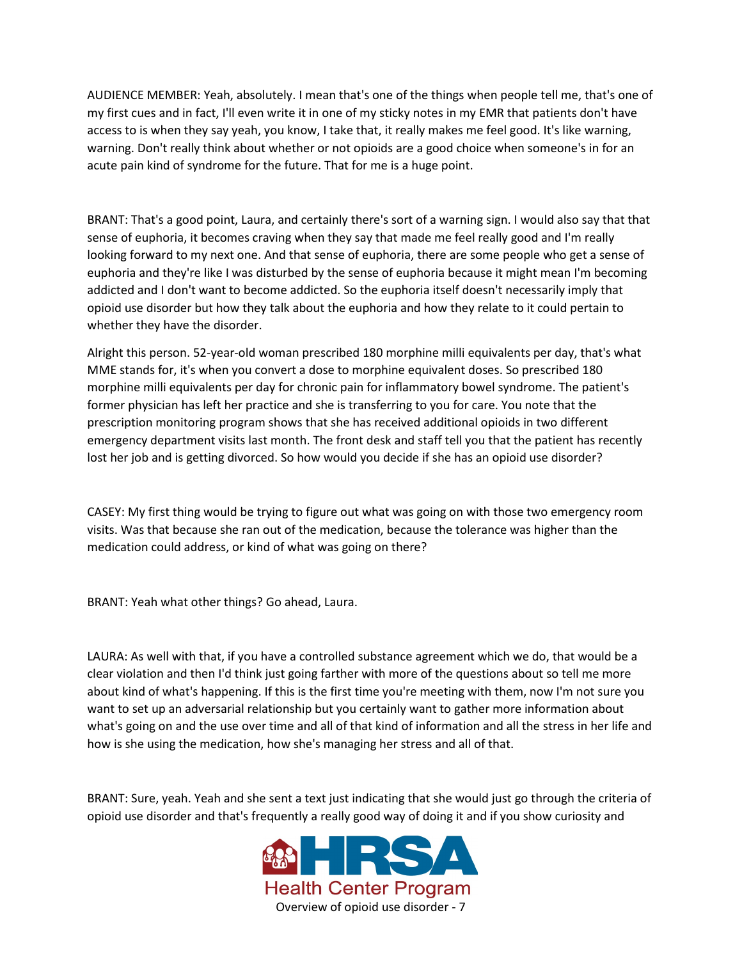AUDIENCE MEMBER: Yeah, absolutely. I mean that's one of the things when people tell me, that's one of my first cues and in fact, I'll even write it in one of my sticky notes in my EMR that patients don't have access to is when they say yeah, you know, I take that, it really makes me feel good. It's like warning, warning. Don't really think about whether or not opioids are a good choice when someone's in for an acute pain kind of syndrome for the future. That for me is a huge point.

BRANT: That's a good point, Laura, and certainly there's sort of a warning sign. I would also say that that sense of euphoria, it becomes craving when they say that made me feel really good and I'm really looking forward to my next one. And that sense of euphoria, there are some people who get a sense of euphoria and they're like I was disturbed by the sense of euphoria because it might mean I'm becoming addicted and I don't want to become addicted. So the euphoria itself doesn't necessarily imply that opioid use disorder but how they talk about the euphoria and how they relate to it could pertain to whether they have the disorder.

Alright this person. 52-year-old woman prescribed 180 morphine milli equivalents per day, that's what MME stands for, it's when you convert a dose to morphine equivalent doses. So prescribed 180 morphine milli equivalents per day for chronic pain for inflammatory bowel syndrome. The patient's former physician has left her practice and she is transferring to you for care. You note that the prescription monitoring program shows that she has received additional opioids in two different emergency department visits last month. The front desk and staff tell you that the patient has recently lost her job and is getting divorced. So how would you decide if she has an opioid use disorder?

CASEY: My first thing would be trying to figure out what was going on with those two emergency room visits. Was that because she ran out of the medication, because the tolerance was higher than the medication could address, or kind of what was going on there?

BRANT: Yeah what other things? Go ahead, Laura.

LAURA: As well with that, if you have a controlled substance agreement which we do, that would be a clear violation and then I'd think just going farther with more of the questions about so tell me more about kind of what's happening. If this is the first time you're meeting with them, now I'm not sure you want to set up an adversarial relationship but you certainly want to gather more information about what's going on and the use over time and all of that kind of information and all the stress in her life and how is she using the medication, how she's managing her stress and all of that.

BRANT: Sure, yeah. Yeah and she sent a text just indicating that she would just go through the criteria of opioid use disorder and that's frequently a really good way of doing it and if you show curiosity and

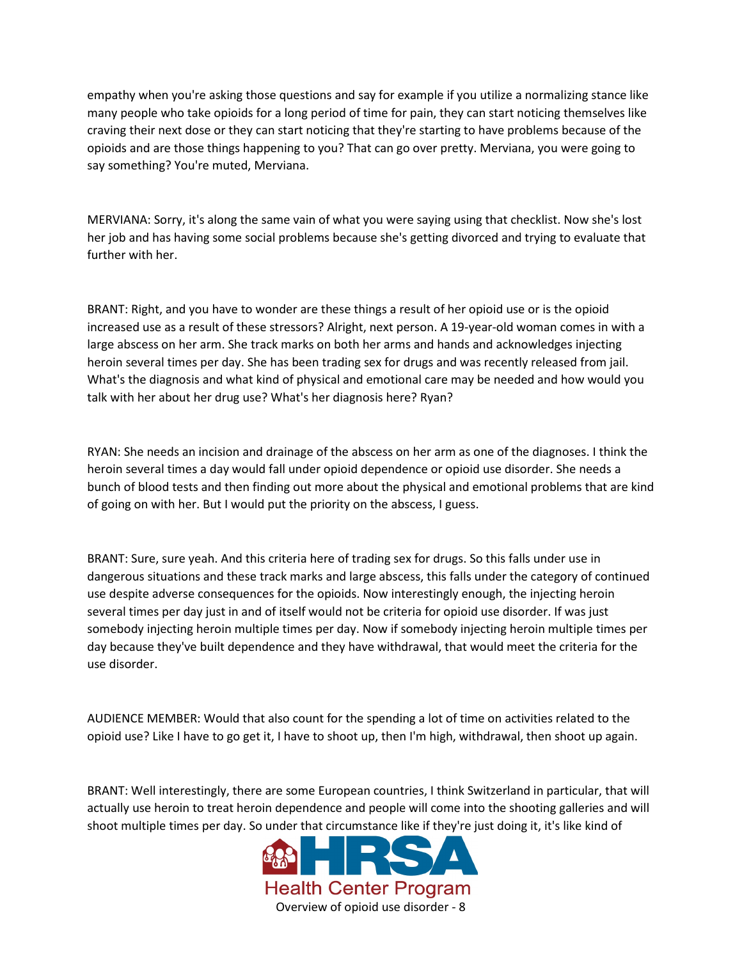empathy when you're asking those questions and say for example if you utilize a normalizing stance like many people who take opioids for a long period of time for pain, they can start noticing themselves like craving their next dose or they can start noticing that they're starting to have problems because of the opioids and are those things happening to you? That can go over pretty. Merviana, you were going to say something? You're muted, Merviana.

MERVIANA: Sorry, it's along the same vain of what you were saying using that checklist. Now she's lost her job and has having some social problems because she's getting divorced and trying to evaluate that further with her.

BRANT: Right, and you have to wonder are these things a result of her opioid use or is the opioid increased use as a result of these stressors? Alright, next person. A 19-year-old woman comes in with a large abscess on her arm. She track marks on both her arms and hands and acknowledges injecting heroin several times per day. She has been trading sex for drugs and was recently released from jail. What's the diagnosis and what kind of physical and emotional care may be needed and how would you talk with her about her drug use? What's her diagnosis here? Ryan?

RYAN: She needs an incision and drainage of the abscess on her arm as one of the diagnoses. I think the heroin several times a day would fall under opioid dependence or opioid use disorder. She needs a bunch of blood tests and then finding out more about the physical and emotional problems that are kind of going on with her. But I would put the priority on the abscess, I guess.

BRANT: Sure, sure yeah. And this criteria here of trading sex for drugs. So this falls under use in dangerous situations and these track marks and large abscess, this falls under the category of continued use despite adverse consequences for the opioids. Now interestingly enough, the injecting heroin several times per day just in and of itself would not be criteria for opioid use disorder. If was just somebody injecting heroin multiple times per day. Now if somebody injecting heroin multiple times per day because they've built dependence and they have withdrawal, that would meet the criteria for the use disorder.

AUDIENCE MEMBER: Would that also count for the spending a lot of time on activities related to the opioid use? Like I have to go get it, I have to shoot up, then I'm high, withdrawal, then shoot up again.

BRANT: Well interestingly, there are some European countries, I think Switzerland in particular, that will actually use heroin to treat heroin dependence and people will come into the shooting galleries and will shoot multiple times per day. So under that circumstance like if they're just doing it, it's like kind of

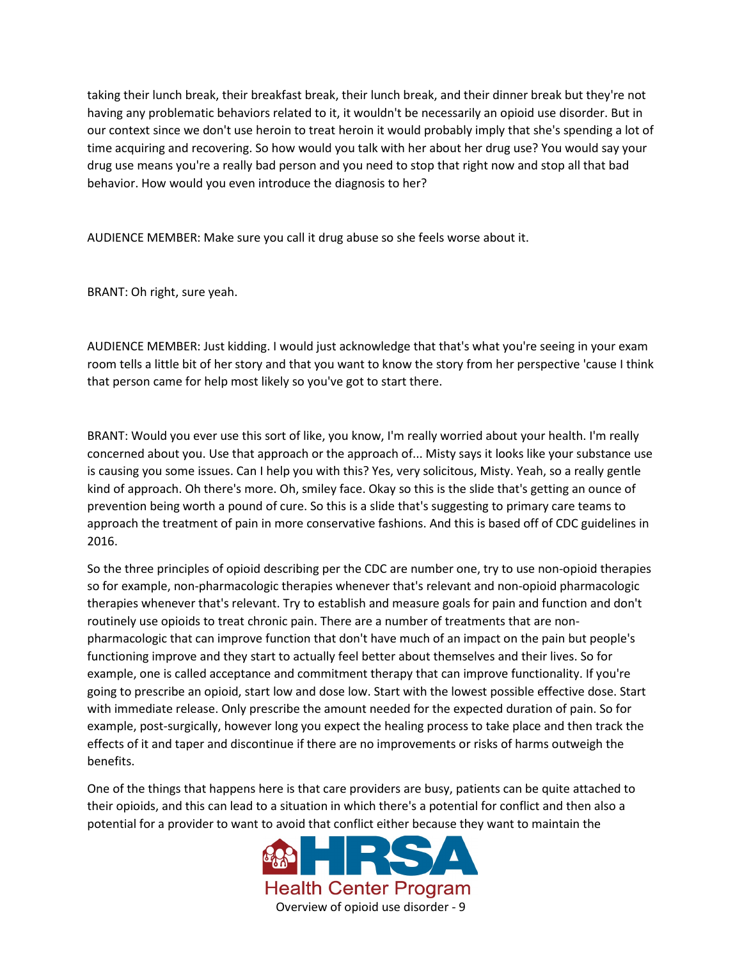taking their lunch break, their breakfast break, their lunch break, and their dinner break but they're not having any problematic behaviors related to it, it wouldn't be necessarily an opioid use disorder. But in our context since we don't use heroin to treat heroin it would probably imply that she's spending a lot of time acquiring and recovering. So how would you talk with her about her drug use? You would say your drug use means you're a really bad person and you need to stop that right now and stop all that bad behavior. How would you even introduce the diagnosis to her?

AUDIENCE MEMBER: Make sure you call it drug abuse so she feels worse about it.

BRANT: Oh right, sure yeah.

AUDIENCE MEMBER: Just kidding. I would just acknowledge that that's what you're seeing in your exam room tells a little bit of her story and that you want to know the story from her perspective 'cause I think that person came for help most likely so you've got to start there.

BRANT: Would you ever use this sort of like, you know, I'm really worried about your health. I'm really concerned about you. Use that approach or the approach of... Misty says it looks like your substance use is causing you some issues. Can I help you with this? Yes, very solicitous, Misty. Yeah, so a really gentle kind of approach. Oh there's more. Oh, smiley face. Okay so this is the slide that's getting an ounce of prevention being worth a pound of cure. So this is a slide that's suggesting to primary care teams to approach the treatment of pain in more conservative fashions. And this is based off of CDC guidelines in 2016.

So the three principles of opioid describing per the CDC are number one, try to use non-opioid therapies so for example, non-pharmacologic therapies whenever that's relevant and non-opioid pharmacologic therapies whenever that's relevant. Try to establish and measure goals for pain and function and don't routinely use opioids to treat chronic pain. There are a number of treatments that are nonpharmacologic that can improve function that don't have much of an impact on the pain but people's functioning improve and they start to actually feel better about themselves and their lives. So for example, one is called acceptance and commitment therapy that can improve functionality. If you're going to prescribe an opioid, start low and dose low. Start with the lowest possible effective dose. Start with immediate release. Only prescribe the amount needed for the expected duration of pain. So for example, post-surgically, however long you expect the healing process to take place and then track the effects of it and taper and discontinue if there are no improvements or risks of harms outweigh the benefits.

One of the things that happens here is that care providers are busy, patients can be quite attached to their opioids, and this can lead to a situation in which there's a potential for conflict and then also a potential for a provider to want to avoid that conflict either because they want to maintain the

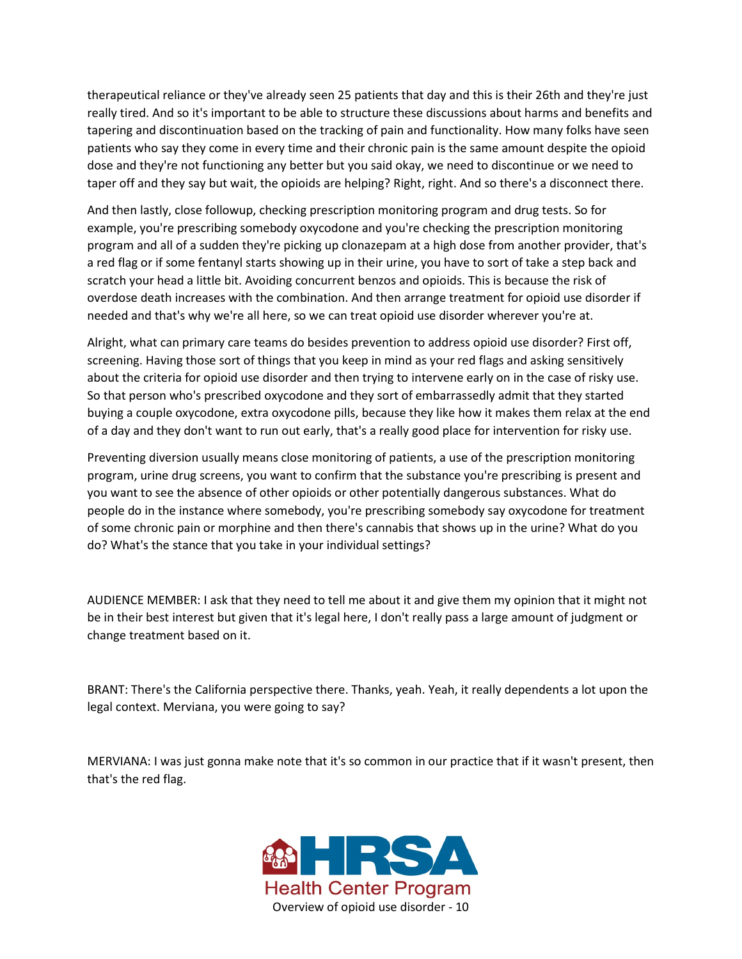therapeutical reliance or they've already seen 25 patients that day and this is their 26th and they're just really tired. And so it's important to be able to structure these discussions about harms and benefits and tapering and discontinuation based on the tracking of pain and functionality. How many folks have seen patients who say they come in every time and their chronic pain is the same amount despite the opioid dose and they're not functioning any better but you said okay, we need to discontinue or we need to taper off and they say but wait, the opioids are helping? Right, right. And so there's a disconnect there.

And then lastly, close followup, checking prescription monitoring program and drug tests. So for example, you're prescribing somebody oxycodone and you're checking the prescription monitoring program and all of a sudden they're picking up clonazepam at a high dose from another provider, that's a red flag or if some fentanyl starts showing up in their urine, you have to sort of take a step back and scratch your head a little bit. Avoiding concurrent benzos and opioids. This is because the risk of overdose death increases with the combination. And then arrange treatment for opioid use disorder if needed and that's why we're all here, so we can treat opioid use disorder wherever you're at.

Alright, what can primary care teams do besides prevention to address opioid use disorder? First off, screening. Having those sort of things that you keep in mind as your red flags and asking sensitively about the criteria for opioid use disorder and then trying to intervene early on in the case of risky use. So that person who's prescribed oxycodone and they sort of embarrassedly admit that they started buying a couple oxycodone, extra oxycodone pills, because they like how it makes them relax at the end of a day and they don't want to run out early, that's a really good place for intervention for risky use.

Preventing diversion usually means close monitoring of patients, a use of the prescription monitoring program, urine drug screens, you want to confirm that the substance you're prescribing is present and you want to see the absence of other opioids or other potentially dangerous substances. What do people do in the instance where somebody, you're prescribing somebody say oxycodone for treatment of some chronic pain or morphine and then there's cannabis that shows up in the urine? What do you do? What's the stance that you take in your individual settings?

AUDIENCE MEMBER: I ask that they need to tell me about it and give them my opinion that it might not be in their best interest but given that it's legal here, I don't really pass a large amount of judgment or change treatment based on it.

BRANT: There's the California perspective there. Thanks, yeah. Yeah, it really dependents a lot upon the legal context. Merviana, you were going to say?

MERVIANA: I was just gonna make note that it's so common in our practice that if it wasn't present, then that's the red flag.

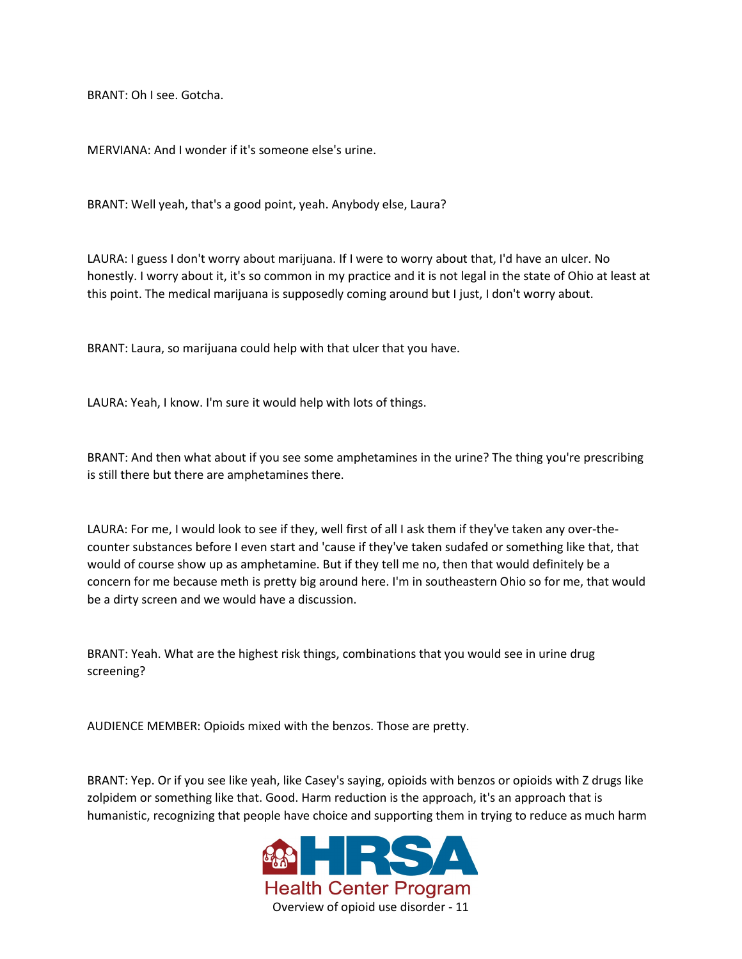BRANT: Oh I see. Gotcha.

MERVIANA: And I wonder if it's someone else's urine.

BRANT: Well yeah, that's a good point, yeah. Anybody else, Laura?

LAURA: I guess I don't worry about marijuana. If I were to worry about that, I'd have an ulcer. No honestly. I worry about it, it's so common in my practice and it is not legal in the state of Ohio at least at this point. The medical marijuana is supposedly coming around but I just, I don't worry about.

BRANT: Laura, so marijuana could help with that ulcer that you have.

LAURA: Yeah, I know. I'm sure it would help with lots of things.

BRANT: And then what about if you see some amphetamines in the urine? The thing you're prescribing is still there but there are amphetamines there.

LAURA: For me, I would look to see if they, well first of all I ask them if they've taken any over-thecounter substances before I even start and 'cause if they've taken sudafed or something like that, that would of course show up as amphetamine. But if they tell me no, then that would definitely be a concern for me because meth is pretty big around here. I'm in southeastern Ohio so for me, that would be a dirty screen and we would have a discussion.

BRANT: Yeah. What are the highest risk things, combinations that you would see in urine drug screening?

AUDIENCE MEMBER: Opioids mixed with the benzos. Those are pretty.

BRANT: Yep. Or if you see like yeah, like Casey's saying, opioids with benzos or opioids with Z drugs like zolpidem or something like that. Good. Harm reduction is the approach, it's an approach that is humanistic, recognizing that people have choice and supporting them in trying to reduce as much harm

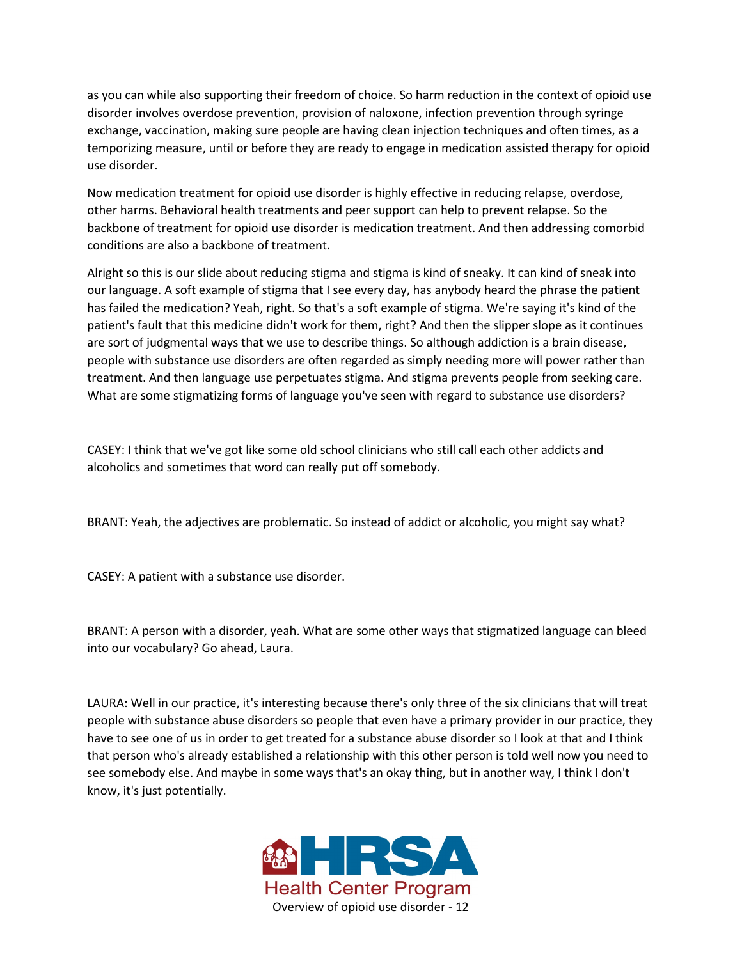as you can while also supporting their freedom of choice. So harm reduction in the context of opioid use disorder involves overdose prevention, provision of naloxone, infection prevention through syringe exchange, vaccination, making sure people are having clean injection techniques and often times, as a temporizing measure, until or before they are ready to engage in medication assisted therapy for opioid use disorder.

Now medication treatment for opioid use disorder is highly effective in reducing relapse, overdose, other harms. Behavioral health treatments and peer support can help to prevent relapse. So the backbone of treatment for opioid use disorder is medication treatment. And then addressing comorbid conditions are also a backbone of treatment.

Alright so this is our slide about reducing stigma and stigma is kind of sneaky. It can kind of sneak into our language. A soft example of stigma that I see every day, has anybody heard the phrase the patient has failed the medication? Yeah, right. So that's a soft example of stigma. We're saying it's kind of the patient's fault that this medicine didn't work for them, right? And then the slipper slope as it continues are sort of judgmental ways that we use to describe things. So although addiction is a brain disease, people with substance use disorders are often regarded as simply needing more will power rather than treatment. And then language use perpetuates stigma. And stigma prevents people from seeking care. What are some stigmatizing forms of language you've seen with regard to substance use disorders?

CASEY: I think that we've got like some old school clinicians who still call each other addicts and alcoholics and sometimes that word can really put off somebody.

BRANT: Yeah, the adjectives are problematic. So instead of addict or alcoholic, you might say what?

CASEY: A patient with a substance use disorder.

BRANT: A person with a disorder, yeah. What are some other ways that stigmatized language can bleed into our vocabulary? Go ahead, Laura.

LAURA: Well in our practice, it's interesting because there's only three of the six clinicians that will treat people with substance abuse disorders so people that even have a primary provider in our practice, they have to see one of us in order to get treated for a substance abuse disorder so I look at that and I think that person who's already established a relationship with this other person is told well now you need to see somebody else. And maybe in some ways that's an okay thing, but in another way, I think I don't know, it's just potentially.